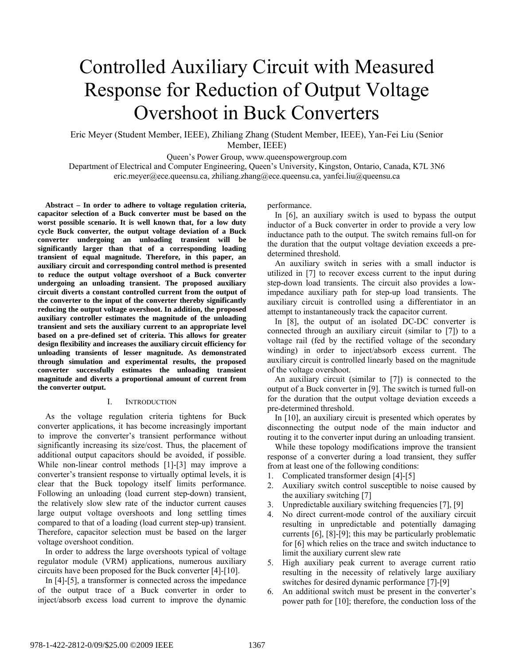# Controlled Auxiliary Circuit with Measured Response for Reduction of Output Voltage Overshoot in Buck Converters

Eric Meyer (Student Member, IEEE), Zhiliang Zhang (Student Member, IEEE), Yan-Fei Liu (Senior Member, IEEE)

Queen's Power Group, www.queenspowergroup.com

Department of Electrical and Computer Engineering, Queen's University, Kingston, Ontario, Canada, K7L 3N6 eric.meyer@ece.queensu.ca, zhiliang.zhang@ece.queensu.ca, yanfei.liu@queensu.ca

**Abstract – In order to adhere to voltage regulation criteria, capacitor selection of a Buck converter must be based on the worst possible scenario. It is well known that, for a low duty cycle Buck converter, the output voltage deviation of a Buck converter undergoing an unloading transient will be significantly larger than that of a corresponding loading transient of equal magnitude. Therefore, in this paper, an auxiliary circuit and corresponding control method is presented to reduce the output voltage overshoot of a Buck converter undergoing an unloading transient. The proposed auxiliary circuit diverts a constant controlled current from the output of the converter to the input of the converter thereby significantly reducing the output voltage overshoot. In addition, the proposed auxiliary controller estimates the magnitude of the unloading transient and sets the auxiliary current to an appropriate level based on a pre-defined set of criteria. This allows for greater design flexibility and increases the auxiliary circuit efficiency for unloading transients of lesser magnitude. As demonstrated through simulation and experimental results, the proposed converter successfully estimates the unloading transient magnitude and diverts a proportional amount of current from the converter output.** 

# I. INTRODUCTION

As the voltage regulation criteria tightens for Buck converter applications, it has become increasingly important to improve the converter's transient performance without significantly increasing its size/cost. Thus, the placement of additional output capacitors should be avoided, if possible. While non-linear control methods [1]-[3] may improve a converter's transient response to virtually optimal levels, it is clear that the Buck topology itself limits performance. Following an unloading (load current step-down) transient, the relatively slow slew rate of the inductor current causes large output voltage overshoots and long settling times compared to that of a loading (load current step-up) transient. Therefore, capacitor selection must be based on the larger voltage overshoot condition.

In order to address the large overshoots typical of voltage regulator module (VRM) applications, numerous auxiliary circuits have been proposed for the Buck converter [4]-[10].

In [4]-[5], a transformer is connected across the impedance of the output trace of a Buck converter in order to inject/absorb excess load current to improve the dynamic

performance.

In [6], an auxiliary switch is used to bypass the output inductor of a Buck converter in order to provide a very low inductance path to the output. The switch remains full-on for the duration that the output voltage deviation exceeds a predetermined threshold.

An auxiliary switch in series with a small inductor is utilized in [7] to recover excess current to the input during step-down load transients. The circuit also provides a lowimpedance auxiliary path for step-up load transients. The auxiliary circuit is controlled using a differentiator in an attempt to instantaneously track the capacitor current.

In [8], the output of an isolated DC-DC converter is connected through an auxiliary circuit (similar to [7]) to a voltage rail (fed by the rectified voltage of the secondary winding) in order to inject/absorb excess current. The auxiliary circuit is controlled linearly based on the magnitude of the voltage overshoot.

An auxiliary circuit (similar to [7]) is connected to the output of a Buck converter in [9]. The switch is turned full-on for the duration that the output voltage deviation exceeds a pre-determined threshold.

In [10], an auxiliary circuit is presented which operates by disconnecting the output node of the main inductor and routing it to the converter input during an unloading transient.

While these topology modifications improve the transient response of a converter during a load transient, they suffer from at least one of the following conditions:

- 1. Complicated transformer design [4]-[5]
- Auxiliary switch control susceptible to noise caused by the auxiliary switching [7]
- 3. Unpredictable auxiliary switching frequencies [7], [9]
- 4. No direct current-mode control of the auxiliary circuit resulting in unpredictable and potentially damaging currents [6], [8]-[9]; this may be particularly problematic for [6] which relies on the trace and switch inductance to limit the auxiliary current slew rate
- 5. High auxiliary peak current to average current ratio resulting in the necessity of relatively large auxiliary switches for desired dynamic performance [7]-[9]
- 6. An additional switch must be present in the converter's power path for [10]; therefore, the conduction loss of the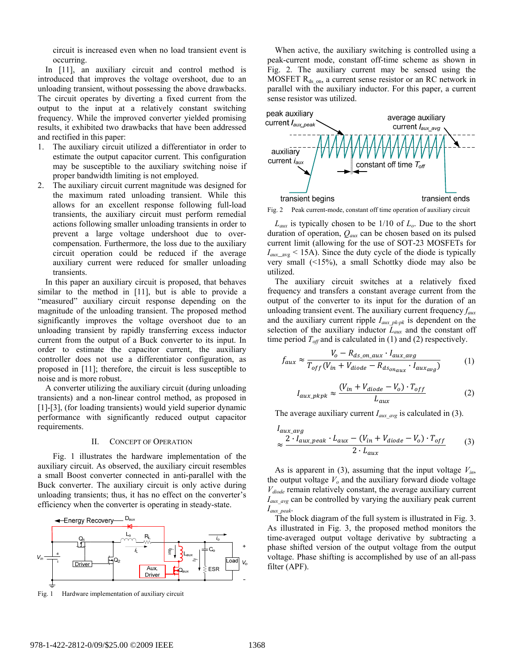circuit is increased even when no load transient event is occurring.

In [11], an auxiliary circuit and control method is introduced that improves the voltage overshoot, due to an unloading transient, without possessing the above drawbacks. The circuit operates by diverting a fixed current from the output to the input at a relatively constant switching frequency. While the improved converter yielded promising results, it exhibited two drawbacks that have been addressed and rectified in this paper:

- 1. The auxiliary circuit utilized a differentiator in order to estimate the output capacitor current. This configuration may be susceptible to the auxiliary switching noise if proper bandwidth limiting is not employed.
- 2. The auxiliary circuit current magnitude was designed for the maximum rated unloading transient. While this allows for an excellent response following full-load transients, the auxiliary circuit must perform remedial actions following smaller unloading transients in order to prevent a large voltage undershoot due to overcompensation. Furthermore, the loss due to the auxiliary circuit operation could be reduced if the average auxiliary current were reduced for smaller unloading transients.

In this paper an auxiliary circuit is proposed, that behaves similar to the method in [11], but is able to provide a "measured" auxiliary circuit response depending on the magnitude of the unloading transient. The proposed method significantly improves the voltage overshoot due to an unloading transient by rapidly transferring excess inductor current from the output of a Buck converter to its input. In order to estimate the capacitor current, the auxiliary controller does not use a differentiator configuration, as proposed in [11]; therefore, the circuit is less susceptible to noise and is more robust.

A converter utilizing the auxiliary circuit (during unloading transients) and a non-linear control method, as proposed in [1]-[3], (for loading transients) would yield superior dynamic performance with significantly reduced output capacitor requirements.

## II. CONCEPT OF OPERATION

Fig. 1 illustrates the hardware implementation of the auxiliary circuit. As observed, the auxiliary circuit resembles a small Boost converter connected in anti-parallel with the Buck converter. The auxiliary circuit is only active during unloading transients; thus, it has no effect on the converter's efficiency when the converter is operating in steady-state.



Fig. 1 Hardware implementation of auxiliary circuit

When active, the auxiliary switching is controlled using a peak-current mode, constant off-time scheme as shown in Fig. 2. The auxiliary current may be sensed using the MOSFET  $R_{ds \text{on}}$ , a current sense resistor or an RC network in parallel with the auxiliary inductor. For this paper, a current sense resistor was utilized.



Fig. 2 Peak current-mode, constant off time operation of auxiliary circuit

 $L_{aux}$  is typically chosen to be  $1/10$  of  $L_0$ . Due to the short duration of operation, *Qaux* can be chosen based on its pulsed current limit (allowing for the use of SOT-23 MOSFETs for  $I_{\text{aux} \_\text{avg}}$  < 15A). Since the duty cycle of the diode is typically very small (<15%), a small Schottky diode may also be utilized.

The auxiliary circuit switches at a relatively fixed frequency and transfers a constant average current from the output of the converter to its input for the duration of an unloading transient event. The auxiliary current frequency *faux* and the auxiliary current ripple  $I_{aux\ p k-pk}$  is dependent on the selection of the auxiliary inductor *Laux* and the constant off time period  $T_{off}$  and is calculated in (1) and (2) respectively.

$$
f_{aux} \approx \frac{V_o - R_{ds\_on\_aux} \cdot l_{aux\_avg}}{T_{off}(V_{in} + V_{diode} - R_{ds_{on_{aux}}} \cdot l_{aux_{avg}})}
$$
(1)

$$
I_{aux\_pkpk} \approx \frac{(V_{in} + V_{diode} - V_o) \cdot T_{off}}{L_{aux}}
$$
 (2)

The average auxiliary current  $I_{aux\,avg}$  is calculated in (3).

$$
I_{aux\_avg}
$$
  
\n
$$
\approx \frac{2 \cdot I_{aux\_peak} \cdot L_{aux} - (V_{in} + V_{diode} - V_o) \cdot T_{off}}{2 \cdot L_{aux}}
$$
 (3)

As is apparent in (3), assuming that the input voltage  $V_{in}$ , the output voltage  $V<sub>o</sub>$  and the auxiliary forward diode voltage *Vdiode* remain relatively constant, the average auxiliary current *I<sub>aux avg</sub>* can be controlled by varying the auxiliary peak current *Iaux\_peak*.

The block diagram of the full system is illustrated in Fig. 3. As illustrated in Fig. 3, the proposed method monitors the time-averaged output voltage derivative by subtracting a phase shifted version of the output voltage from the output voltage. Phase shifting is accomplished by use of an all-pass filter (APF).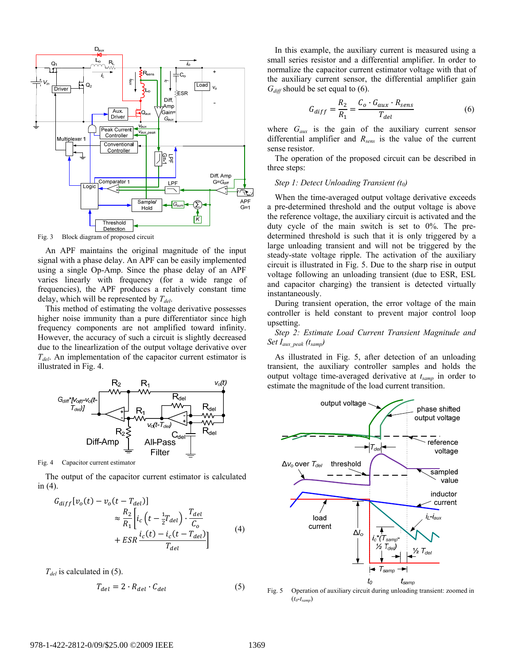

Fig. 3 Block diagram of proposed circuit

An APF maintains the original magnitude of the input signal with a phase delay. An APF can be easily implemented using a single Op-Amp. Since the phase delay of an APF varies linearly with frequency (for a wide range of frequencies), the APF produces a relatively constant time delay, which will be represented by  $T_{del}$ .

This method of estimating the voltage derivative possesses higher noise immunity than a pure differentiator since high frequency components are not amplified toward infinity. However, the accuracy of such a circuit is slightly decreased due to the linearlization of the output voltage derivative over *Tdel*. An implementation of the capacitor current estimator is illustrated in Fig. 4.



Fig. 4 Capacitor current estimator

The output of the capacitor current estimator is calculated in (4).

$$
G_{diff} [v_o(t) - v_o(t - T_{del})]
$$
  
\n
$$
\approx \frac{R_2}{R_1} \left[ i_c \left( t - \frac{1}{2} T_{del} \right) \cdot \frac{T_{del}}{C_o} + ESR \frac{i_c(t) - i_c(t - T_{del})}{T_{del}} \right]
$$
\n(4)

 $T_{del}$  is calculated in (5).

$$
T_{del} = 2 \cdot R_{del} \cdot C_{del} \tag{5}
$$

In this example, the auxiliary current is measured using a small series resistor and a differential amplifier. In order to normalize the capacitor current estimator voltage with that of the auxiliary current sensor, the differential amplifier gain  $G_{diff}$  should be set equal to (6).

$$
G_{diff} = \frac{R_2}{R_1} = \frac{C_o \cdot G_{aux} \cdot R_{sens}}{T_{del}} \tag{6}
$$

where  $G_{aux}$  is the gain of the auxiliary current sensor differential amplifier and *Rsens* is the value of the current sense resistor.

The operation of the proposed circuit can be described in three steps:

## *Step 1: Detect Unloading Transient (t<sub>0</sub>)*

When the time-averaged output voltage derivative exceeds a pre-determined threshold and the output voltage is above the reference voltage, the auxiliary circuit is activated and the duty cycle of the main switch is set to 0%. The predetermined threshold is such that it is only triggered by a large unloading transient and will not be triggered by the steady-state voltage ripple. The activation of the auxiliary circuit is illustrated in Fig. 5. Due to the sharp rise in output voltage following an unloading transient (due to ESR, ESL and capacitor charging) the transient is detected virtually instantaneously.

During transient operation, the error voltage of the main controller is held constant to prevent major control loop upsetting.

*Step 2: Estimate Load Current Transient Magnitude and Set Iaux\_peak (tsamp)* 

As illustrated in Fig. 5, after detection of an unloading transient, the auxiliary controller samples and holds the output voltage time-averaged derivative at *tsamp* in order to estimate the magnitude of the load current transition.



Fig. 5 Operation of auxiliary circuit during unloading transient: zoomed in (*t0*-*tsamp*)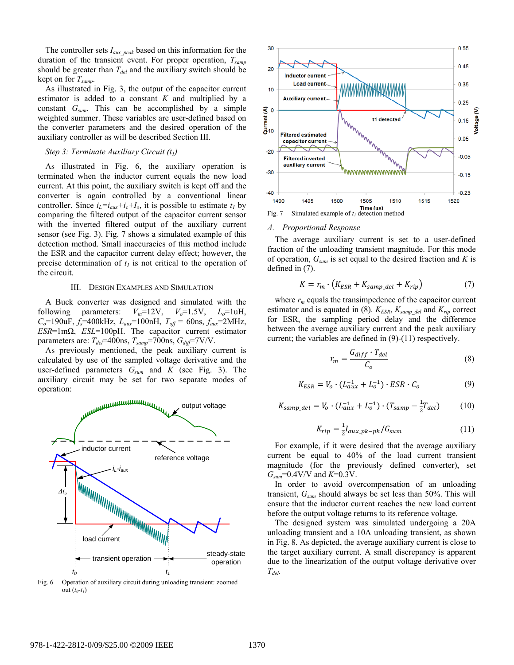The controller sets  $I_{aux\ peak}$  based on this information for the duration of the transient event. For proper operation, *Tsamp* should be greater than  $T_{del}$  and the auxiliary switch should be kept on for *Tsamp*.

As illustrated in Fig. 3, the output of the capacitor current estimator is added to a constant *K* and multiplied by a constant *Gsum*. This can be accomplished by a simple weighted summer. These variables are user-defined based on the converter parameters and the desired operation of the auxiliary controller as will be described Section III.

## *Step 3: Terminate Auxiliary Circuit* (t<sub>1</sub>)

As illustrated in Fig. 6, the auxiliary operation is terminated when the inductor current equals the new load current. At this point, the auxiliary switch is kept off and the converter is again controlled by a conventional linear controller. Since  $i_l = i_{aux} + i_c + I_o$ , it is possible to estimate  $t_l$  by comparing the filtered output of the capacitor current sensor with the inverted filtered output of the auxiliary current sensor (see Fig. 3). Fig. 7 shows a simulated example of this detection method. Small inaccuracies of this method include the ESR and the capacitor current delay effect; however, the precise determination of  $t_1$  is not critical to the operation of the circuit.

#### III. DESIGN EXAMPLES AND SIMULATION

A Buck converter was designed and simulated with the following parameters:  $V_{in} = 12V$ ,  $V_o = 1.5V$ ,  $L_o = 1uH$ ,  $C_o$ =190uF,  $f_s$ =400kHz,  $L_{aux}$ =100nH,  $T_{off}$  = 60ns,  $f_{aux}$ =2MHz, *ESR*=1mΩ, *ESL*=100pH. The capacitor current estimator parameters are:  $T_{de}$ =400ns,  $T_{samp}$ =700ns,  $G_{diff}$ =7V/V.

As previously mentioned, the peak auxiliary current is calculated by use of the sampled voltage derivative and the user-defined parameters *Gsum* and *K* (see Fig. 3). The auxiliary circuit may be set for two separate modes of operation:



Fig. 6 Operation of auxiliary circuit during unloading transient: zoomed out  $(t_0-t_1)$ 



#### *A. Proportional Response*

The average auxiliary current is set to a user-defined fraction of the unloading transient magnitude. For this mode of operation,  $G_{sum}$  is set equal to the desired fraction and *K* is defined in (7).

$$
K = r_m \cdot \left( K_{ESR} + K_{sampling\_del} + K_{rip} \right) \tag{7}
$$

where  $r_m$  equals the transimpedence of the capacitor current estimator and is equated in (8).  $K_{ESR}$ ,  $K_{\text{samp}}$  del and  $K_{rip}$  correct for ESR, the sampling period delay and the difference between the average auxiliary current and the peak auxiliary current; the variables are defined in (9)-(11) respectively.

$$
r_m = \frac{G_{diff} \cdot T_{del}}{C_o} \tag{8}
$$

$$
K_{ESR} = V_o \cdot (L_{aux}^{-1} + L_o^{-1}) \cdot ESR \cdot C_o \tag{9}
$$

$$
K_{\text{ samp\_del}} = V_o \cdot (L_{\text{aux}}^{-1} + L_o^{-1}) \cdot (T_{\text{ samp}} - \frac{1}{2} T_{\text{del}}) \tag{10}
$$

$$
K_{rip} = \frac{1}{2} I_{aux\_pk-pk} / G_{sum}
$$
 (11)

For example, if it were desired that the average auxiliary current be equal to 40% of the load current transient magnitude (for the previously defined converter), set *Gsum*=0.4V/V and *K*=0.3V.

In order to avoid overcompensation of an unloading transient, *Gsum* should always be set less than 50%. This will ensure that the inductor current reaches the new load current before the output voltage returns to its reference voltage.

The designed system was simulated undergoing a 20A unloading transient and a 10A unloading transient, as shown in Fig. 8. As depicted, the average auxiliary current is close to the target auxiliary current. A small discrepancy is apparent due to the linearization of the output voltage derivative over *Tdel*.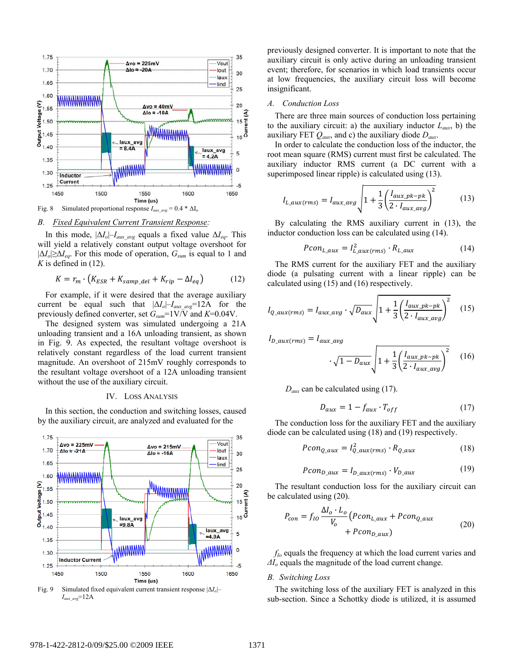

*B. Fixed Equivalent Current Transient Response:* 

In this mode, |Δ*Io*|–*Iaux\_avg* equals a fixed value Δ*Ieq*. This will yield a relatively constant output voltage overshoot for |Δ*Io*|*≥*Δ*Ieq*. For this mode of operation, *Gsum* is equal to 1 and  $K$  is defined in  $(12)$ .

$$
K = r_m \cdot \left( K_{ESR} + K_{samplel} + K_{rip} - \Delta I_{eq} \right) \tag{12}
$$

For example, if it were desired that the average auxiliary current be equal such that  $|\Delta I_o|$ – $I_{aux\_avg}$ =12A for the previously defined converter, set  $G_{sum}$ =1V/ $\bar{V}$  and  $K$ =0.04V.

The designed system was simulated undergoing a 21A unloading transient and a 16A unloading transient, as shown in Fig. 9. As expected, the resultant voltage overshoot is relatively constant regardless of the load current transient magnitude. An overshoot of 215mV roughly corresponds to the resultant voltage overshoot of a 12A unloading transient without the use of the auxiliary circuit.

#### IV. LOSS ANALYSIS

In this section, the conduction and switching losses, caused by the auxiliary circuit, are analyzed and evaluated for the





previously designed converter. It is important to note that the auxiliary circuit is only active during an unloading transient event; therefore, for scenarios in which load transients occur at low frequencies, the auxiliary circuit loss will become insignificant.

#### *A. Conduction Loss*

There are three main sources of conduction loss pertaining to the auxiliary circuit: a) the auxiliary inductor  $L_{aux}$ , b) the auxiliary FET *Qaux*, and c) the auxiliary diode *Daux*.

In order to calculate the conduction loss of the inductor, the root mean square (RMS) current must first be calculated. The auxiliary inductor RMS current (a DC current with a superimposed linear ripple) is calculated using  $(13)$ .

$$
I_{L\_aux(rms)} = I_{aux\_avg} \sqrt{1 + \frac{1}{3} \left( \frac{I_{aux\_pk-pk}}{2 \cdot I_{aux\_avg}} \right)^2} \tag{13}
$$

By calculating the RMS auxiliary current in (13), the inductor conduction loss can be calculated using (14).

$$
Pcon_{L\_aux} = I_{L\_aux(rms)}^2 \cdot R_{L\_aux}
$$
 (14)

The RMS current for the auxiliary FET and the auxiliary diode (a pulsating current with a linear ripple) can be calculated using (15) and (16) respectively.

$$
I_{Q\_aux(rms)} = I_{aux\_avg} \cdot \sqrt{D_{aux}} \sqrt{1 + \frac{1}{3} \left(\frac{I_{aux\_pk-pk}}{2 \cdot I_{aux\_avg}}\right)^2} \quad (15)
$$

 $I_{D\;aux(rms)} = I_{aux\;ava}$ 

$$
\cdot \sqrt{1 - D_{aux}} \sqrt{1 + \frac{1}{3} \left(\frac{I_{aux\_pk-pk}}{2 \cdot I_{aux\_avg}}\right)^2} \quad (16)
$$

*D<sub>aux</sub>* can be calculated using (17).

$$
D_{aux} = 1 - f_{aux} \cdot T_{off} \tag{17}
$$

The conduction loss for the auxiliary FET and the auxiliary diode can be calculated using (18) and (19) respectively.

$$
Pcon_{Q\_aux} = I_{Q\_aux(rms)}^2 \cdot R_{Q\_aux}
$$
 (18)

$$
Pcon_{D\_aux} = I_{D\_aux(rms)} \cdot V_{D\_aux}
$$
 (19)

The resultant conduction loss for the auxiliary circuit can be calculated using (20).

$$
P_{con} = f_{IO} \frac{\Delta I_o \cdot L_o}{V_o} (Pcon_{L_aaux} + Pcon_{Q_aaux} + Pcon_{Q_aaux})
$$
\n
$$
+ Pcon_{D_aaux})
$$
\n(20)

*fIo* equals the frequency at which the load current varies and *ΔIo* equals the magnitude of the load current change.

## *B. Switching Loss*

The switching loss of the auxiliary FET is analyzed in this sub-section. Since a Schottky diode is utilized, it is assumed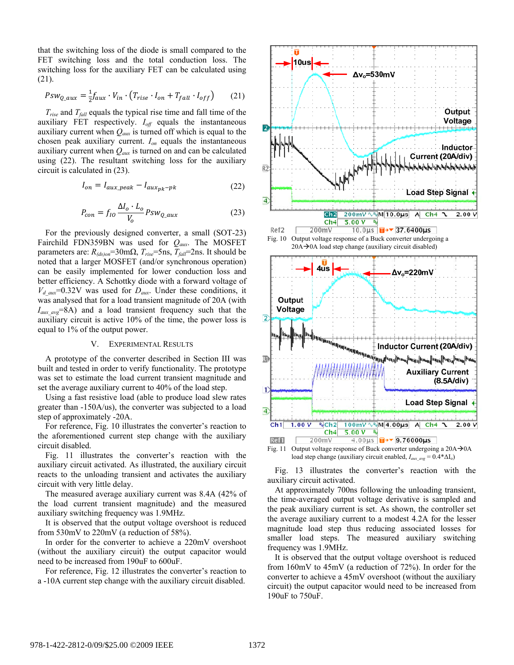that the switching loss of the diode is small compared to the FET switching loss and the total conduction loss. The switching loss for the auxiliary FET can be calculated using (21).

$$
Psw_{Q\_aux} = \frac{1}{2}f_{aux} \cdot V_{in} \cdot (T_{rise} \cdot I_{on} + T_{fall} \cdot I_{off})
$$
 (21)

 $T_{rise}$  and  $T_{fall}$  equals the typical rise time and fall time of the auxiliary FET respectively.  $I_{\text{off}}$  equals the instantaneous auxiliary current when  $Q_{aux}$  is turned off which is equal to the chosen peak auxiliary current. *Ion* equals the instantaneous auxiliary current when *Qaux* is turned on and can be calculated using (22). The resultant switching loss for the auxiliary circuit is calculated in (23).

$$
I_{on} = I_{aux\_peak} - I_{aux_{pk}-pk}
$$
 (22)

$$
P_{con} = f_{IO} \frac{\Delta I_o \cdot L_o}{V_o} P s w_{Q\_aux}
$$
 (23)

For the previously designed converter, a small (SOT-23) Fairchild FDN359BN was used for *Qaux*. The MOSFET parameters are: *R(ds)on*=30mΩ, *Trise*=5ns, *Tfall*=2ns. It should be noted that a larger MOSFET (and/or synchronous operation) can be easily implemented for lower conduction loss and better efficiency. A Schottky diode with a forward voltage of  $V_{d\,\text{aux}}=0.32V$  was used for  $D_{aux}$ . Under these conditions, it was analysed that for a load transient magnitude of 20A (with *Iaux\_avg*=8A) and a load transient frequency such that the auxiliary circuit is active 10% of the time, the power loss is equal to 1% of the output power.

## V. EXPERIMENTAL RESULTS

A prototype of the converter described in Section III was built and tested in order to verify functionality. The prototype was set to estimate the load current transient magnitude and set the average auxiliary current to 40% of the load step.

Using a fast resistive load (able to produce load slew rates greater than -150A/us), the converter was subjected to a load step of approximately -20A.

For reference, Fig. 10 illustrates the converter's reaction to the aforementioned current step change with the auxiliary circuit disabled.

Fig. 11 illustrates the converter's reaction with the auxiliary circuit activated. As illustrated, the auxiliary circuit reacts to the unloading transient and activates the auxiliary circuit with very little delay.

The measured average auxiliary current was 8.4A (42% of the load current transient magnitude) and the measured auxiliary switching frequency was 1.9MHz.

It is observed that the output voltage overshoot is reduced from 530mV to 220mV (a reduction of 58%).

In order for the converter to achieve a 220mV overshoot (without the auxiliary circuit) the output capacitor would need to be increased from 190uF to 600uF.

For reference, Fig. 12 illustrates the converter's reaction to a -10A current step change with the auxiliary circuit disabled.



Fig. 11 Output voltage response of Buck converter undergoing a  $20A \rightarrow 0A$ load step change (auxiliary circuit enabled, *Iaux\_avg* = 0.4\*ΔIo)

Fig. 13 illustrates the converter's reaction with the auxiliary circuit activated.

At approximately 700ns following the unloading transient, the time-averaged output voltage derivative is sampled and the peak auxiliary current is set. As shown, the controller set the average auxiliary current to a modest 4.2A for the lesser magnitude load step thus reducing associated losses for smaller load steps. The measured auxiliary switching frequency was 1.9MHz.

It is observed that the output voltage overshoot is reduced from 160mV to 45mV (a reduction of 72%). In order for the converter to achieve a 45mV overshoot (without the auxiliary circuit) the output capacitor would need to be increased from 190uF to 750uF.